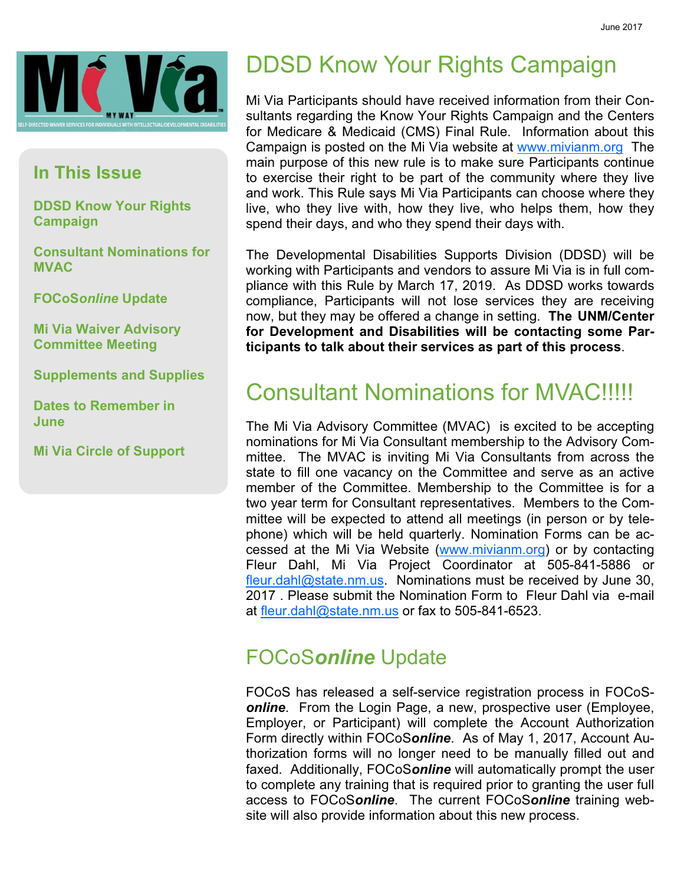

#### In This Issue

DDSD Know Your Rights Campaign

Consultant Nominations for **MVAC** 

FOCoSonline Update

Mi Via Waiver Advisory Committee Meeting

Supplements and Supplies

Dates to Remember in June

Mi Via Circle of Support

# DDSD Know Your Rights Campaign

Mi Via Participants should have received information from their Consultants regarding the Know Your Rights Campaign and the Centers for Medicare & Medicaid (CMS) Final Rule. Information about this Campaign is posted on the Mi Via website at www.mivianm.org The main purpose of this new rule is to make sure Participants continue to exercise their right to be part of the community where they live and work. This Rule says Mi Via Participants can choose where they live, who they live with, how they live, who helps them, how they spend their days, and who they spend their days with.

The Developmental Disabilities Supports Division (DDSD) will be working with Participants and vendors to assure Mi Via is in full compliance with this Rule by March 17, 2019. As DDSD works towards compliance, Participants will not lose services they are receiving now, but they may be offered a change in setting. The UNM/Center for Development and Disabilities will be contacting some Participants to talk about their services as part of this process.

## Consultant Nominations for MVAC!!!!!

The Mi Via Advisory Committee (MVAC) is excited to be accepting nominations for Mi Via Consultant membership to the Advisory Committee. The MVAC is inviting Mi Via Consultants from across the state to fill one vacancy on the Committee and serve as an active member of the Committee. Membership to the Committee is for a two year term for Consultant representatives. Members to the Committee will be expected to attend all meetings (in person or by telephone) which will be held quarterly. Nomination Forms can be accessed at the Mi Via Website (www.mivianm.org) or by contacting Fleur Dahl, Mi Via Project Coordinator at 505-841-5886 or fleur.dahl@state.nm.us. Nominations must be received by June 30, 2017 . Please submit the Nomination Form to Fleur Dahl via e-mail at fleur.dahl@state.nm.us or fax to 505-841-6523.

#### FOCoSonline Update

FOCoS has released a self-service registration process in FOCoS**online**. From the Login Page, a new, prospective user (Employee, Employer, or Participant) will complete the Account Authorization Form directly within FOCoSonline. As of May 1, 2017, Account Authorization forms will no longer need to be manually filled out and faxed. Additionally, FOCoSonline will automatically prompt the user to complete any training that is required prior to granting the user full access to FOCoSonline. The current FOCoSonline training website will also provide information about this new process.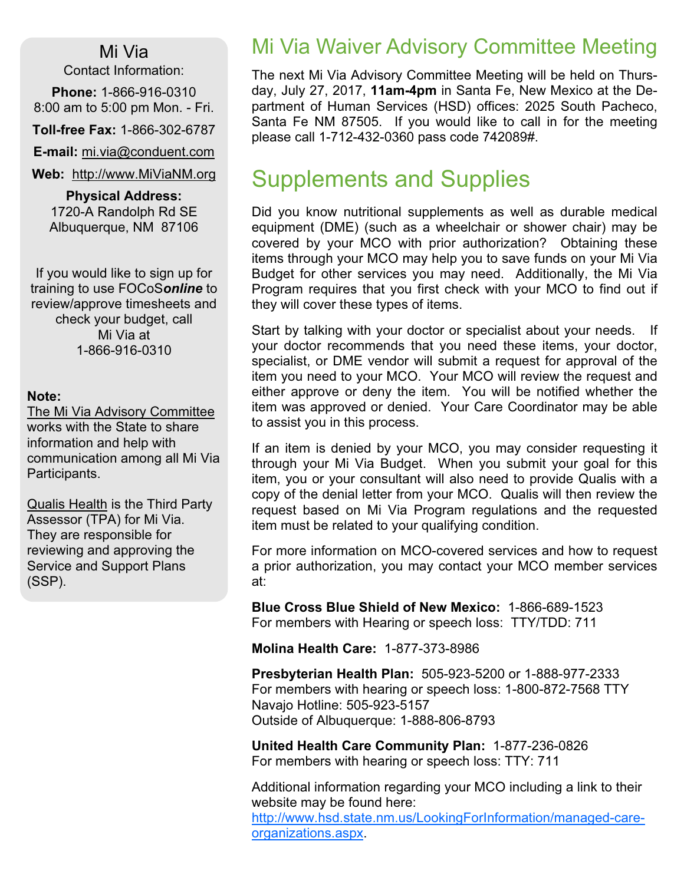#### Mi Via

Contact Information:

Phone: 1-866-916-0310 8:00 am to 5:00 pm Mon. - Fri.

Toll-free Fax: 1-866-302-6787

E-mail: mi.via@conduent.com

Web: http://www.MiViaNM.org

Physical Address: 1720-A Randolph Rd SE Albuquerque, NM 87106

If you would like to sign up for training to use FOCoSonline to review/approve timesheets and check your budget, call Mi Via at 1-866-916-0310

#### Note:

The Mi Via Advisory Committee works with the State to share information and help with communication among all Mi Via Participants.

Qualis Health is the Third Party Assessor (TPA) for Mi Via. They are responsible for reviewing and approving the Service and Support Plans (SSP).

### Mi Via Waiver Advisory Committee Meeting

The next Mi Via Advisory Committee Meeting will be held on Thursday, July 27, 2017, 11am-4pm in Santa Fe, New Mexico at the Department of Human Services (HSD) offices: 2025 South Pacheco, Santa Fe NM 87505. If you would like to call in for the meeting please call 1-712-432-0360 pass code 742089#.

## Supplements and Supplies

Did you know nutritional supplements as well as durable medical equipment (DME) (such as a wheelchair or shower chair) may be covered by your MCO with prior authorization? Obtaining these items through your MCO may help you to save funds on your Mi Via Budget for other services you may need. Additionally, the Mi Via Program requires that you first check with your MCO to find out if they will cover these types of items.

Start by talking with your doctor or specialist about your needs. If your doctor recommends that you need these items, your doctor, specialist, or DME vendor will submit a request for approval of the item you need to your MCO. Your MCO will review the request and either approve or deny the item. You will be notified whether the item was approved or denied. Your Care Coordinator may be able to assist you in this process.

If an item is denied by your MCO, you may consider requesting it through your Mi Via Budget. When you submit your goal for this item, you or your consultant will also need to provide Qualis with a copy of the denial letter from your MCO. Qualis will then review the request based on Mi Via Program regulations and the requested item must be related to your qualifying condition.

For more information on MCO-covered services and how to request a prior authorization, you may contact your MCO member services at:

Blue Cross Blue Shield of New Mexico: 1-866-689-1523 For members with Hearing or speech loss: TTY/TDD: 711

Molina Health Care: 1-877-373-8986

Presbyterian Health Plan: 505-923-5200 or 1-888-977-2333 For members with hearing or speech loss: 1-800-872-7568 TTY Navajo Hotline: 505-923-5157 Outside of Albuquerque: 1-888-806-8793

United Health Care Community Plan: 1-877-236-0826 For members with hearing or speech loss: TTY: 711

Additional information regarding your MCO including a link to their website may be found here: http://www.hsd.state.nm.us/LookingForInformation/managed-careorganizations.aspx.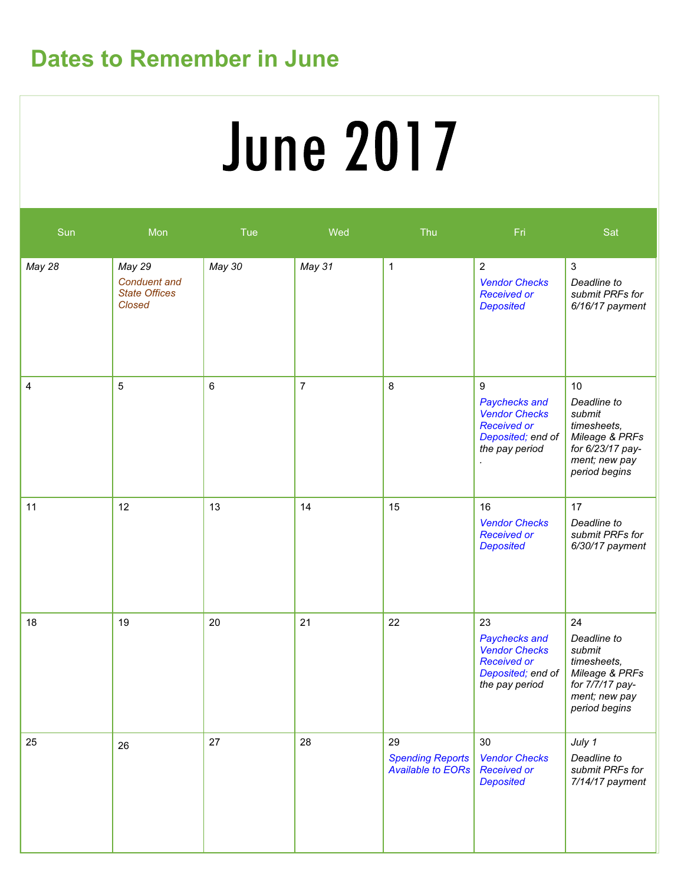## Dates to Remember in June

# **June 2017**

| Sun    | Mon                                                             | Tue    | Wed            | Thu                                                       | Fri                                                                                                      | Sat                                                                                                                |
|--------|-----------------------------------------------------------------|--------|----------------|-----------------------------------------------------------|----------------------------------------------------------------------------------------------------------|--------------------------------------------------------------------------------------------------------------------|
| May 28 | May 29<br><b>Conduent and</b><br><b>State Offices</b><br>Closed | May 30 | May 31         | $\mathbf{1}$                                              | $\overline{2}$<br><b>Vendor Checks</b><br><b>Received or</b><br><b>Deposited</b>                         | $\mathbf{3}$<br>Deadline to<br>submit PRFs for<br>6/16/17 payment                                                  |
| 4      | 5                                                               | 6      | $\overline{7}$ | 8                                                         | 9<br>Paychecks and<br><b>Vendor Checks</b><br><b>Received or</b><br>Deposited; end of<br>the pay period  | 10<br>Deadline to<br>submit<br>timesheets,<br>Mileage & PRFs<br>for 6/23/17 pay-<br>ment; new pay<br>period begins |
| 11     | 12                                                              | 13     | 14             | 15                                                        | 16<br><b>Vendor Checks</b><br><b>Received or</b><br><b>Deposited</b>                                     | 17<br>Deadline to<br>submit PRFs for<br>6/30/17 payment                                                            |
| 18     | 19                                                              | 20     | 21             | 22                                                        | 23<br>Paychecks and<br><b>Vendor Checks</b><br><b>Received or</b><br>Deposited; end of<br>the pay period | 24<br>Deadline to<br>submit<br>timesheets,<br>Mileage & PRFs<br>for 7/7/17 pay-<br>ment; new pay<br>period begins  |
| 25     | 26                                                              | 27     | 28             | 29<br><b>Spending Reports</b><br><b>Available to EORs</b> | 30<br><b>Vendor Checks</b><br><b>Received or</b><br><b>Deposited</b>                                     | July 1<br>Deadline to<br>submit PRFs for<br>7/14/17 payment                                                        |